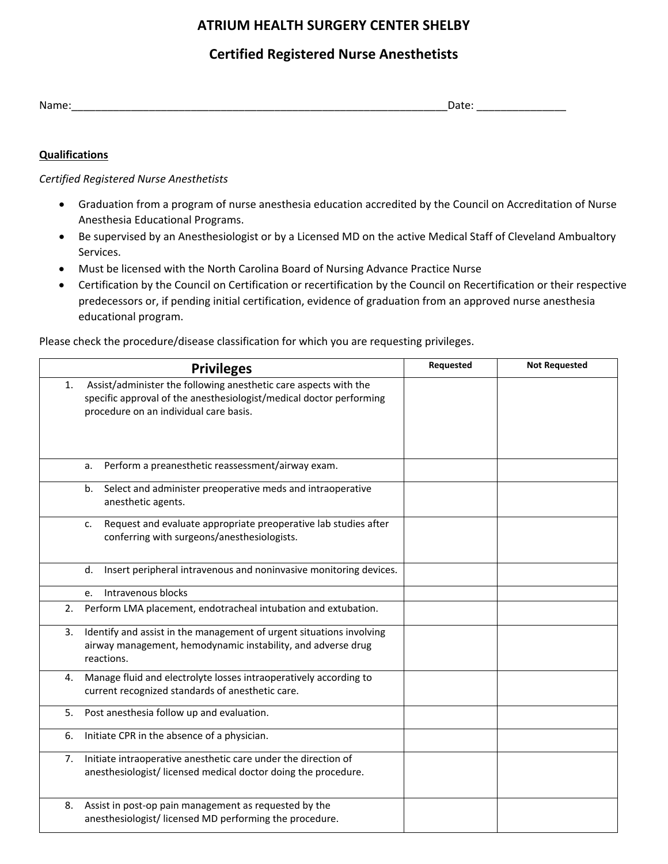# **ATRIUM HEALTH SURGERY CENTER SHELBY**

## **Certified Registered Nurse Anesthetists**

| $N$ ame | ---- |
|---------|------|
|         | ___  |
|         |      |

### **Qualifications**

#### *Certified Registered Nurse Anesthetists*

- Graduation from a program of nurse anesthesia education accredited by the Council on Accreditation of Nurse Anesthesia Educational Programs.
- Be supervised by an Anesthesiologist or by a Licensed MD on the active Medical Staff of Cleveland Ambualtory Services.
- Must be licensed with the North Carolina Board of Nursing Advance Practice Nurse
- Certification by the Council on Certification or recertification by the Council on Recertification or their respective predecessors or, if pending initial certification, evidence of graduation from an approved nurse anesthesia educational program.

Please check the procedure/disease classification for which you are requesting privileges.

|    | <b>Privileges</b>                                                                                                                                                                 |  | <b>Not Requested</b> |
|----|-----------------------------------------------------------------------------------------------------------------------------------------------------------------------------------|--|----------------------|
| 1. | Assist/administer the following anesthetic care aspects with the<br>specific approval of the anesthesiologist/medical doctor performing<br>procedure on an individual care basis. |  |                      |
|    | Perform a preanesthetic reassessment/airway exam.<br>a.                                                                                                                           |  |                      |
|    | Select and administer preoperative meds and intraoperative<br>b.<br>anesthetic agents.                                                                                            |  |                      |
|    | Request and evaluate appropriate preoperative lab studies after<br>c.<br>conferring with surgeons/anesthesiologists.                                                              |  |                      |
|    | Insert peripheral intravenous and noninvasive monitoring devices.<br>d.                                                                                                           |  |                      |
|    | Intravenous blocks<br>e.                                                                                                                                                          |  |                      |
| 2. | Perform LMA placement, endotracheal intubation and extubation.                                                                                                                    |  |                      |
| 3. | Identify and assist in the management of urgent situations involving<br>airway management, hemodynamic instability, and adverse drug<br>reactions.                                |  |                      |
| 4. | Manage fluid and electrolyte losses intraoperatively according to<br>current recognized standards of anesthetic care.                                                             |  |                      |
| 5. | Post anesthesia follow up and evaluation.                                                                                                                                         |  |                      |
| 6. | Initiate CPR in the absence of a physician.                                                                                                                                       |  |                      |
| 7. | Initiate intraoperative anesthetic care under the direction of<br>anesthesiologist/licensed medical doctor doing the procedure.                                                   |  |                      |
| 8. | Assist in post-op pain management as requested by the<br>anesthesiologist/licensed MD performing the procedure.                                                                   |  |                      |